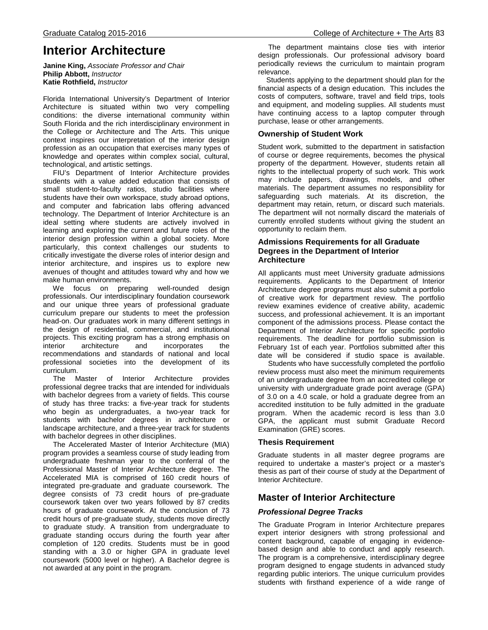#### Graduate Catalog 2015-2016 College of Architecture + The Arts 83

# **Interior Architecture**

**Janine King,** *Associate Professor and Chair* **Philip Abbott,** *Instructor* **Katie Rothfield,** *Instructor*

Florida International University's Department of Interior Architecture is situated within two very compelling conditions: the diverse international community within South Florida and the rich interdisciplinary environment in the College or Architecture and The Arts. This unique context inspires our interpretation of the interior design profession as an occupation that exercises many types of knowledge and operates within complex social, cultural, technological, and artistic settings.

 FIU's Department of Interior Architecture provides students with a value added education that consists of small student-to-faculty ratios, studio facilities where students have their own workspace, study abroad options, and computer and fabrication labs offering advanced technology. The Department of Interior Architecture is an ideal setting where students are actively involved in learning and exploring the current and future roles of the interior design profession within a global society. More particularly, this context challenges our students to critically investigate the diverse roles of interior design and interior architecture, and inspires us to explore new avenues of thought and attitudes toward why and how we make human environments.

 We focus on preparing well-rounded design professionals. Our interdisciplinary foundation coursework and our unique three years of professional graduate curriculum prepare our students to meet the profession head-on. Our graduates work in many different settings in the design of residential, commercial, and institutional projects. This exciting program has a strong emphasis on interior architecture and incorporates the recommendations and standards of national and local professional societies into the development of its curriculum.

 The Master of Interior Architecture provides professional degree tracks that are intended for individuals with bachelor degrees from a variety of fields. This course of study has three tracks: a five-year track for students who begin as undergraduates, a two-year track for students with bachelor degrees in architecture or landscape architecture, and a three-year track for students with bachelor degrees in other disciplines.

 The Accelerated Master of Interior Architecture (MIA) program provides a seamless course of study leading from undergraduate freshman year to the conferral of the Professional Master of Interior Architecture degree. The Accelerated MIA is comprised of 160 credit hours of integrated pre-graduate and graduate coursework. The degree consists of 73 credit hours of pre-graduate coursework taken over two years followed by 87 credits hours of graduate coursework. At the conclusion of 73 credit hours of pre-graduate study, students move directly to graduate study. A transition from undergraduate to graduate standing occurs during the fourth year after completion of 120 credits. Students must be in good standing with a 3.0 or higher GPA in graduate level coursework (5000 level or higher). A Bachelor degree is not awarded at any point in the program.

 The department maintains close ties with interior design professionals. Our professional advisory board periodically reviews the curriculum to maintain program relevance.

 Students applying to the department should plan for the financial aspects of a design education. This includes the costs of computers, software, travel and field trips, tools and equipment, and modeling supplies. All students must have continuing access to a laptop computer through purchase, lease or other arrangements.

## **Ownership of Student Work**

Student work, submitted to the department in satisfaction of course or degree requirements, becomes the physical property of the department. However, students retain all rights to the intellectual property of such work. This work may include papers, drawings, models, and other materials. The department assumes no responsibility for safeguarding such materials. At its discretion, the department may retain, return, or discard such materials. The department will not normally discard the materials of currently enrolled students without giving the student an opportunity to reclaim them.

#### **Admissions Requirements for all Graduate Degrees in the Department of Interior Architecture**

All applicants must meet University graduate admissions requirements. Applicants to the Department of Interior Architecture degree programs must also submit a portfolio of creative work for department review. The portfolio review examines evidence of creative ability, academic success, and professional achievement. It is an important component of the admissions process. Please contact the Department of Interior Architecture for specific portfolio requirements. The deadline for portfolio submission is February 1st of each year. Portfolios submitted after this date will be considered if studio space is available.

 Students who have successfully completed the portfolio review process must also meet the minimum requirements of an undergraduate degree from an accredited college or university with undergraduate grade point average (GPA) of 3.0 on a 4.0 scale, or hold a graduate degree from an accredited institution to be fully admitted in the graduate program. When the academic record is less than 3.0 GPA, the applicant must submit Graduate Record Examination (GRE) scores.

## **Thesis Requirement**

Graduate students in all master degree programs are required to undertake a master's project or a master's thesis as part of their course of study at the Department of Interior Architecture.

## **Master of Interior Architecture**

### *Professional Degree Tracks*

The Graduate Program in Interior Architecture prepares expert interior designers with strong professional and content background, capable of engaging in evidencebased design and able to conduct and apply research. The program is a comprehensive, interdisciplinary degree program designed to engage students in advanced study regarding public interiors. The unique curriculum provides students with firsthand experience of a wide range of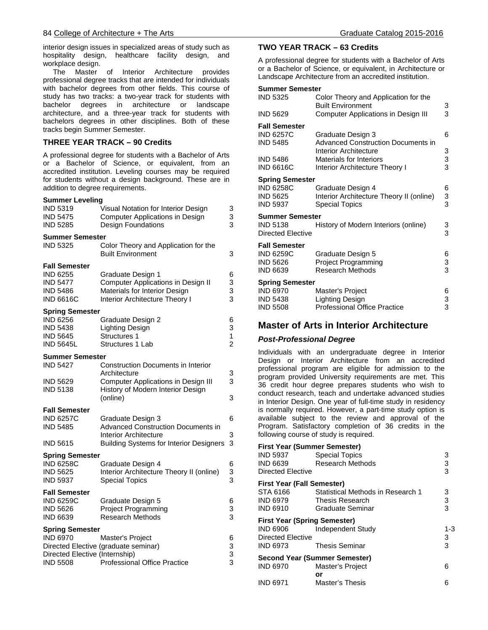interior design issues in specialized areas of study such as hospitality design, healthcare facility design, and workplace design.

 The Master of Interior Architecture provides professional degree tracks that are intended for individuals with bachelor degrees from other fields. This course of study has two tracks: a two-year track for students with bachelor degrees in architecture or landscape architecture, and a three-year track for students with bachelors degrees in other disciplines. Both of these tracks begin Summer Semester.

### **THREE YEAR TRACK – 90 Credits**

A professional degree for students with a Bachelor of Arts or a Bachelor of Science, or equivalent, from an accredited institution. Leveling courses may be required for students without a design background. These are in addition to degree requirements.

#### **Summer Leveling**

| <b>IND 5319</b><br><b>IND 5475</b><br><b>IND 5285</b>                                             | Visual Notation for Interior Design<br><b>Computer Applications in Design</b><br>Design Foundations                                        | 3<br>3<br>3                   |
|---------------------------------------------------------------------------------------------------|--------------------------------------------------------------------------------------------------------------------------------------------|-------------------------------|
| <b>Summer Semester</b><br><b>IND 5325</b>                                                         | Color Theory and Application for the<br><b>Built Environment</b>                                                                           | 3                             |
| <b>Fall Semester</b><br><b>IND 6255</b><br><b>IND 5477</b><br><b>IND 5486</b><br><b>IND 6616C</b> | Graduate Design 1<br>Computer Applications in Design II<br>Materials for Interior Design<br>Interior Architecture Theory I                 | 6<br>3<br>3<br>3              |
| <b>Spring Semester</b><br>IND 6256<br><b>IND 5438</b><br><b>IND 5645</b><br><b>IND 5645L</b>      | Graduate Design 2<br>Lighting Design<br><b>Structures 1</b><br>Structures 1 Lab                                                            | 6<br>3<br>1<br>$\overline{c}$ |
| <b>Summer Semester</b><br><b>IND 5427</b><br><b>IND 5629</b><br><b>IND 5138</b>                   | Construction Documents in Interior<br>Architecture<br>Computer Applications in Design III<br>History of Modern Interior Design<br>(online) | 3<br>3<br>3                   |
| <b>Fall Semester</b><br><b>IND 6257C</b><br><b>IND 5485</b><br><b>IND 5615</b>                    | Graduate Design 3<br><b>Advanced Construction Documents in</b><br>Interior Architecture<br><b>Building Systems for Interior Designers</b>  | 6<br>3<br>3                   |
| <b>Spring Semester</b><br><b>IND 6258C</b><br><b>IND 5625</b><br><b>IND 5937</b>                  | Graduate Design 4<br>Interior Architecture Theory II (online)<br><b>Special Topics</b>                                                     | 6<br>3<br>3                   |
| <b>Fall Semester</b><br><b>IND 6259C</b><br><b>IND 5626</b><br><b>IND 6639</b>                    | Graduate Design 5<br><b>Project Programming</b><br><b>Research Methods</b>                                                                 | 6<br>3<br>3                   |
| <b>Spring Semester</b><br><b>IND 6970</b><br>Directed Elective (Internship)<br><b>IND 5508</b>    | Master's Project<br>Directed Elective (graduate seminar)<br><b>Professional Office Practice</b>                                            | 6<br>3<br>3<br>3              |

#### **TWO YEAR TRACK – 63 Credits**

A professional degree for students with a Bachelor of Arts or a Bachelor of Science, or equivalent, in Architecture or Landscape Architecture from an accredited institution.

#### **Summer Semester**

| IND 5325                                                   | Color Theory and Application for the<br><b>Built Environment</b>                       | 3           |
|------------------------------------------------------------|----------------------------------------------------------------------------------------|-------------|
| IND 5629                                                   | Computer Applications in Design III                                                    | 3           |
| Fall Semester<br><b>IND 6257C</b>                          | Graduate Design 3                                                                      | 6           |
| <b>IND 5485</b>                                            | <b>Advanced Construction Documents in</b><br><b>Interior Architecture</b>              | 3           |
| IND 5486                                                   | <b>Materials for Interiors</b>                                                         | 3           |
| <b>IND 6616C</b>                                           | Interior Architecture Theory I                                                         | 3           |
| <b>Spring Semester</b>                                     |                                                                                        |             |
| <b>IND 6258C</b><br>IND 5625<br>IND 5937                   | Graduate Design 4<br>Interior Architecture Theory II (online)<br><b>Special Topics</b> | 6<br>3<br>3 |
| Summer Semester<br>IND 5138<br>Directed Elective           | History of Modern Interiors (online)                                                   | 3<br>3      |
| Fall Semester<br>IND 6259C<br>IND 5626<br>IND 6639         | Graduate Design 5<br><b>Project Programming</b><br><b>Research Methods</b>             | 6<br>3<br>3 |
| Spring Semester<br>IND 6970<br>IND 5438<br><b>IND 5508</b> | Master's Project<br>Lighting Design<br><b>Professional Office Practice</b>             | 6<br>3<br>3 |
|                                                            |                                                                                        |             |

## **Master of Arts in Interior Architecture**

#### *Post-Professional Degree*

Individuals with an undergraduate degree in Interior Design or Interior Architecture from an accredited professional program are eligible for admission to the program provided University requirements are met. This 36 credit hour degree prepares students who wish to conduct research, teach and undertake advanced studies in Interior Design. One year of full-time study in residency is normally required. However, a part-time study option is available subject to the review and approval of the Program. Satisfactory completion of 36 credits in the following course of study is required.

| <b>First Year (Summer Semester)</b> |                                   |               |
|-------------------------------------|-----------------------------------|---------------|
| IND 5937                            | <b>Special Topics</b>             | 3             |
| IND 6639                            | <b>Research Methods</b>           | $\frac{3}{3}$ |
| <b>Directed Elective</b>            |                                   |               |
| First Year (Fall Semester)          |                                   |               |
| STA 6166                            | Statistical Methods in Research 1 |               |
| IND 6979                            | <b>Thesis Research</b>            | $\frac{3}{3}$ |
| <b>IND 6910</b>                     | Graduate Seminar                  |               |
| <b>First Year (Spring Semester)</b> |                                   |               |
|                                     |                                   |               |
| IND 6906                            | Independent Study                 | 1-3           |
| Directed Elective                   |                                   |               |
| IND 6973                            | Thesis Seminar                    | $\frac{3}{3}$ |
|                                     | Second Year (Summer Semester)     |               |
| <b>IND 6970</b>                     | Master's Project                  | 6             |
|                                     | or                                |               |
| <b>IND 6971</b>                     | Master's Thesis                   | 6             |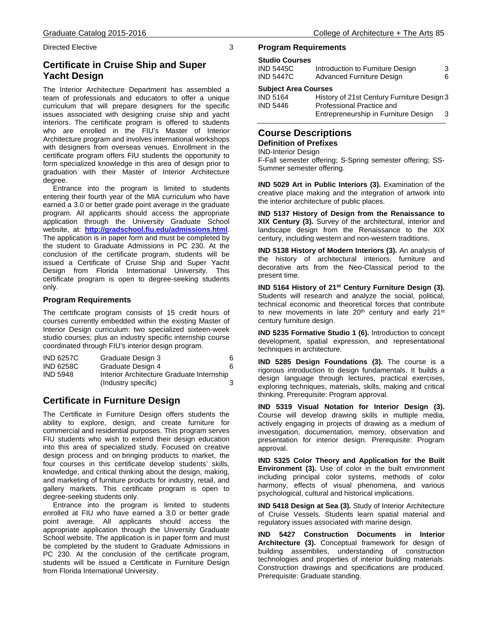Directed Elective 3

## **Certificate in Cruise Ship and Super Yacht Design**

The Interior Architecture Department has assembled a team of professionals and educators to offer a unique curriculum that will prepare designers for the specific issues associated with designing cruise ship and yacht interiors. The certificate program is offered to students who are enrolled in the FIU's Master of Interior Architecture program and involves international workshops with designers from overseas venues. Enrollment in the certificate program offers FIU students the opportunity to form specialized knowledge in this area of design prior to graduation with their Master of Interior Architecture degree.

 Entrance into the program is limited to students entering their fourth year of the MIA curriculum who have earned a 3.0 or better grade point average in the graduate program. All applicants should access the appropriate application through the University Graduate School website, at: **<http://gradschool.fiu.edu/admissions.html>**. The application is in paper form and must be completed by the student to Graduate Admissions in PC 230. At the conclusion of the certificate program, students will be issued a Certificate of Cruise Ship and Super Yacht Design from Florida International University. This certificate program is open to degree-seeking students only.

#### **Program Requirements**

The certificate program consists of 15 credit hours of courses currently embedded within the existing Master of Interior Design curriculum: two specialized sixteen-week studio courses; plus an industry specific internship course coordinated through FIU's interior design program.

| <b>IND 6257C</b> | Graduate Design 3                         | 6 |
|------------------|-------------------------------------------|---|
| <b>IND 6258C</b> | Graduate Design 4                         |   |
| <b>IND 5948</b>  | Interior Architecture Graduate Internship |   |
|                  | (Industry specific)                       |   |

## **Certificate in Furniture Design**

The Certificate in Furniture Design offers students the ability to explore, design, and create furniture for commercial and residential purposes. This program serves FIU students who wish to extend their design education into this area of specialized study. Focused on creative design process and on bringing products to market, the four courses in this certificate develop students' skills, knowledge, and critical thinking about the design, making, and marketing of furniture products for industry, retail, and gallery markets. This certificate program is open to degree-seeking students only.

 Entrance into the program is limited to students enrolled at FIU who have earned a 3.0 or better grade point average. All applicants should access the appropriate application through the University Graduate School website. The application is in paper form and must be completed by the student to Graduate Admissions in PC 230. At the conclusion of the certificate program, students will be issued a Certificate in Furniture Design from Florida International University.

#### **Program Requirements**

#### **Studio Courses**

| <b>IND 5445C</b>            | Introduction to Furniture Design           | 3 |  |
|-----------------------------|--------------------------------------------|---|--|
| <b>IND 5447C</b>            | <b>Advanced Furniture Design</b>           |   |  |
| <b>Subject Area Courses</b> |                                            |   |  |
| <b>IND 5164</b>             | History of 21st Century Furniture Design 3 |   |  |
| <b>IND 5446</b>             | Professional Practice and                  |   |  |
|                             | Entrepreneurship in Furniture Design       | 3 |  |

#### **Course Descriptions Definition of Prefixes**

IND-Interior Design

F-Fall semester offering; S-Spring semester offering; SS-Summer semester offering.

**IND 5029 Art in Public Interiors (3).** Examination of the creative place making and the integration of artwork into the interior architecture of public places.

**IND 5137 History of Design from the Renaissance to XIX Century (3).** Survey of the architectural, interior and landscape design from the Renaissance to the XIX century, including western and non-western traditions.

**IND 5138 History of Modern Interiors (3).** An analysis of the history of architectural interiors, furniture and decorative arts from the Neo-Classical period to the present time.

**IND 5164 History of 21st Century Furniture Design (3).** Students will research and analyze the social, political, technical economic and theoretical forces that contribute to new movements in late  $20<sup>th</sup>$  century and early  $21<sup>st</sup>$ century furniture design.

**IND 5235 Formative Studio 1 (6).** Introduction to concept development, spatial expression, and representational techniques in architecture.

**IND 5285 Design Foundations (3).** The course is a rigorous introduction to design fundamentals. It builds a design language through lectures, practical exercises, exploring techniques, materials, skills, making and critical thinking. Prerequisite: Program approval.

**IND 5319 Visual Notation for Interior Design (3).** Course will develop drawing skills in multiple media, actively engaging in projects of drawing as a medium of investigation, documentation, memory, observation and presentation for interior design. Prerequisite: Program approval.

**IND 5325 Color Theory and Application for the Built Environment (3).** Use of color in the built environment including principal color systems, methods of color harmony, effects of visual phenomena, and various psychological, cultural and historical implications.

**IND 5418 Design at Sea (3).** Study of Interior Architecture of Cruise Vessels. Students learn spatial material and regulatory issues associated with marine design.

**IND 5427 Construction Documents in Interior Architecture (3).** Conceptual framework for design of building assemblies, understanding of construction technologies and properties of interior building materials. Construction drawings and specifications are produced. Prerequisite: Graduate standing.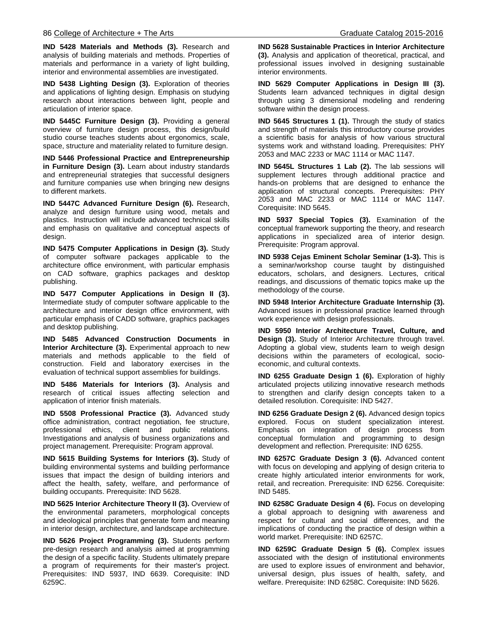**IND 5428 Materials and Methods (3).** Research and analysis of building materials and methods. Properties of materials and performance in a variety of light building, interior and environmental assemblies are investigated.

**IND 5438 Lighting Design (3).** Exploration of theories and applications of lighting design. Emphasis on studying research about interactions between light, people and articulation of interior space.

**IND 5445C Furniture Design (3).** Providing a general overview of furniture design process, this design/build studio course teaches students about ergonomics, scale, space, structure and materiality related to furniture design.

**IND 5446 Professional Practice and Entrepreneurship in Furniture Design (3).** Learn about industry standards and entrepreneurial strategies that successful designers and furniture companies use when bringing new designs to different markets.

**IND 5447C Advanced Furniture Design (6).** Research, analyze and design furniture using wood, metals and plastics. Instruction will include advanced technical skills and emphasis on qualitative and conceptual aspects of design.

**IND 5475 Computer Applications in Design (3).** Study of computer software packages applicable to the architecture office environment, with particular emphasis on CAD software, graphics packages and desktop publishing.

**IND 5477 Computer Applications in Design II (3).** Intermediate study of computer software applicable to the architecture and interior design office environment, with particular emphasis of CADD software, graphics packages and desktop publishing.

**IND 5485 Advanced Construction Documents in Interior Architecture (3).** Experimental approach to new materials and methods applicable to the field of construction. Field and laboratory exercises in the evaluation of technical support assemblies for buildings.

**IND 5486 Materials for Interiors (3).** Analysis and research of critical issues affecting selection and application of interior finish materials.

**IND 5508 Professional Practice (3).** Advanced study office administration, contract negotiation, fee structure, professional ethics, client and public relations. Investigations and analysis of business organizations and project management. Prerequisite: Program approval.

**IND 5615 Building Systems for Interiors (3).** Study of building environmental systems and building performance issues that impact the design of building interiors and affect the health, safety, welfare, and performance of building occupants. Prerequisite: IND 5628.

**IND 5625 Interior Architecture Theory II (3).** Overview of the environmental parameters, morphological concepts and ideological principles that generate form and meaning in interior design, architecture, and landscape architecture.

**IND 5626 Project Programming (3).** Students perform pre-design research and analysis aimed at programming the design of a specific facility. Students ultimately prepare a program of requirements for their master's project. Prerequisites: IND 5937, IND 6639. Corequisite: IND 6259C.

**IND 5628 Sustainable Practices in Interior Architecture (3).** Analysis and application of theoretical, practical, and professional issues involved in designing sustainable interior environments.

**IND 5629 Computer Applications in Design III (3).** Students learn advanced techniques in digital design through using 3 dimensional modeling and rendering software within the design process.

**IND 5645 Structures 1 (1).** Through the study of statics and strength of materials this introductory course provides a scientific basis for analysis of how various structural systems work and withstand loading. Prerequisites: PHY 2053 and MAC 2233 or MAC 1114 or MAC 1147.

**IND 5645L Structures 1 Lab (2).** The lab sessions will supplement lectures through additional practice and hands-on problems that are designed to enhance the application of structural concepts. Prerequisites: PHY 2053 and MAC 2233 or MAC 1114 or MAC 1147. Corequisite: IND 5645.

**IND 5937 Special Topics (3).** Examination of the conceptual framework supporting the theory, and research applications in specialized area of interior design. Prerequisite: Program approval.

**IND 5938 Cejas Eminent Scholar Seminar (1-3).** This is a seminar/workshop course taught by distinguished educators, scholars, and designers. Lectures, critical readings, and discussions of thematic topics make up the methodology of the course.

**IND 5948 Interior Architecture Graduate Internship (3).** Advanced issues in professional practice learned through work experience with design professionals.

**IND 5950 Interior Architecture Travel, Culture, and Design (3).** Study of Interior Architecture through travel. Adopting a global view, students learn to weigh design decisions within the parameters of ecological, socioeconomic, and cultural contexts.

**IND 6255 Graduate Design 1 (6).** Exploration of highly articulated projects utilizing innovative research methods to strengthen and clarify design concepts taken to a detailed resolution. Corequisite: IND 5427.

**IND 6256 Graduate Design 2 (6).** Advanced design topics explored. Focus on student specialization interest. Emphasis on integration of design process from conceptual formulation and programming to design development and reflection. Prerequisite: IND 6255.

**IND 6257C Graduate Design 3 (6).** Advanced content with focus on developing and applying of design criteria to create highly articulated interior environments for work, retail, and recreation. Prerequisite: IND 6256. Corequisite: IND 5485.

**IND 6258C Graduate Design 4 (6).** Focus on developing a global approach to designing with awareness and respect for cultural and social differences, and the implications of conducting the practice of design within a world market. Prerequisite: IND 6257C.

**IND 6259C Graduate Design 5 (6).** Complex issues associated with the design of institutional environments are used to explore issues of environment and behavior, universal design, plus issues of health, safety, and welfare. Prerequisite: IND 6258C. Corequisite: IND 5626.